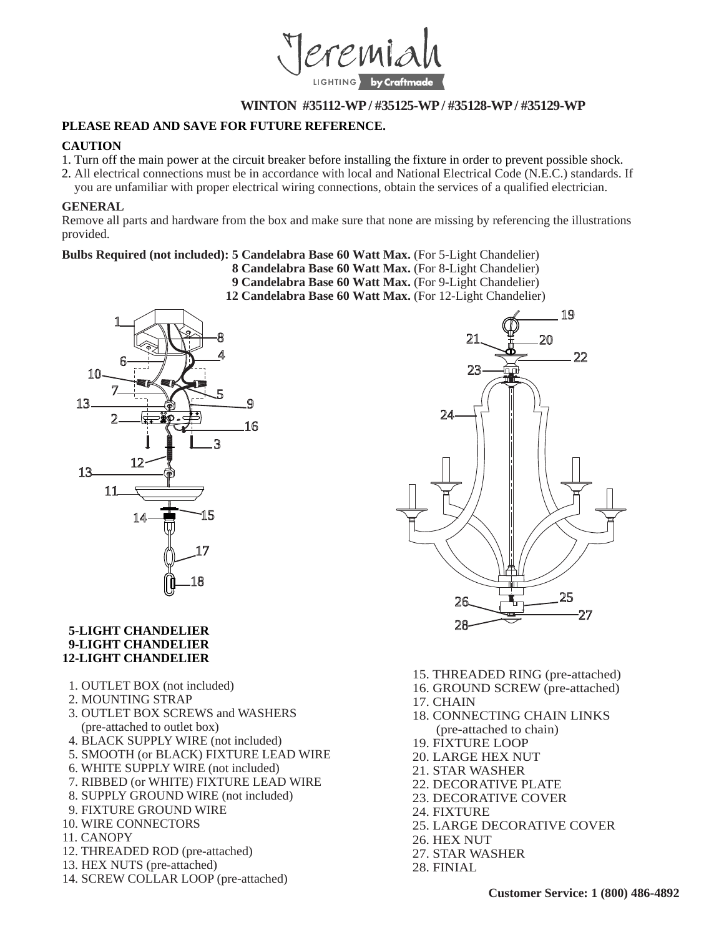

# **WINTON #35112-WP / #35125-WP / #35128-WP / #35129-WP**

## **PLEASE READ AND SAVE FOR FUTURE REFERENCE.**

#### **CAUTION**

- 1. Turn off the main power at the circuit breaker before installing the fixture in order to prevent possible shock.
- 2. All electrical connections must be in accordance with local and National Electrical Code (N.E.C.) standards. If
- you are unfamiliar with proper electrical wiring connections, obtain the services of a qualified electrician.

#### **GENERAL**

Remove all parts and hardware from the box and make sure that none are missing by referencing the illustrations provided.

## **Bulbs Required (not included): 5 Candelabra Base 60 Watt Max.** (For 5-Light Chandelier)

- **8 Candelabra Base 60 Watt Max.** (For 8-Light Chandelier)
- **9 Candelabra Base 60 Watt Max.** (For 9-Light Chandelier)
- **12 Candelabra Base 60 Watt Max.** (For 12-Light Chandelier)



#### **5-LIGHT CHANDELIER 9-LIGHT CHANDELIER 12-LIGHT CHANDELIER**

- 1. OUTLET BOX (not included)
- 2. MOUNTING STRAP
- 3. OUTLET BOX SCREWS and WASHERS (pre-attached to outlet box)
- 4. BLACK SUPPLY WIRE (not included)
- 5. SMOOTH (or BLACK) FIXTURE LEAD WIRE
- 6. WHITE SUPPLY WIRE (not included)
- 7. RIBBED (or WHITE) FIXTURE LEAD WIRE
- 8. SUPPLY GROUND WIRE (not included)
- 9. FIXTURE GROUND WIRE
- 10. WIRE CONNECTORS
- 11. CANOPY
- 12. THREADED ROD (pre-attached)
- 13. HEX NUTS (pre-attached)
- 14. SCREW COLLAR LOOP (pre-attached)



- 15. THREADED RING (pre-attached)
- 16. GROUND SCREW (pre-attached)
- 17. CHAIN
- 18. CONNECTING CHAIN LINKS (pre-attached to chain)
- 19. FIXTURE LOOP
- 20. LARGE HEX NUT
- 21. STAR WASHER
- 22. DECORATIVE PLATE
- 23. DECORATIVE COVER
- 24. FIXTURE
- 25. LARGE DECORATIVE COVER
- 26. HEX NUT
- 27. STAR WASHER
- 28. FINIAL